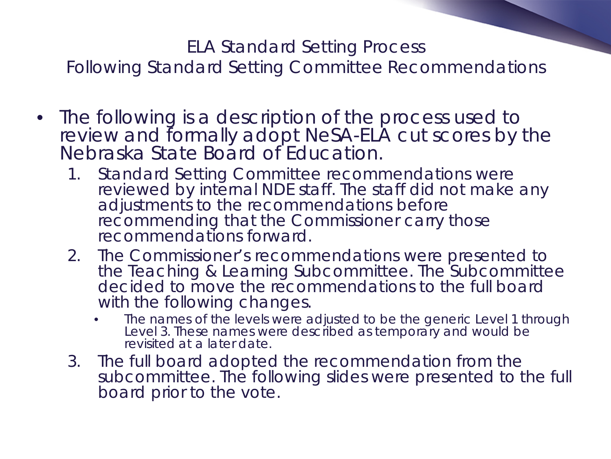#### ELA Standard Setting Process

Following Standard Setting Committee Recommendations

- The following is a description of the process used to review and formally adopt NeSA-ELA cut scores by the Nebraska State Board of Education.
	- 1. Standard Setting Committee recommendations were reviewed by internal NDE staff. The staff did not make any adjustments to the recommendations before recommending that the Commissioner carry those recommendations forward.
	- 2. The Commissioner's recommendations were presented to the Teaching & Learning Subcommittee. The Subcommittee decided to move the recommendations to the full board with the following changes.
		- The names of the levels were adjusted to be the generic Level 1 through Level 3. These names were described as temporary and would be revisited at a later date.
	- 3. The full board adopted the recommendation from the subcommittee. The following slides were presented to the full board prior to the vote.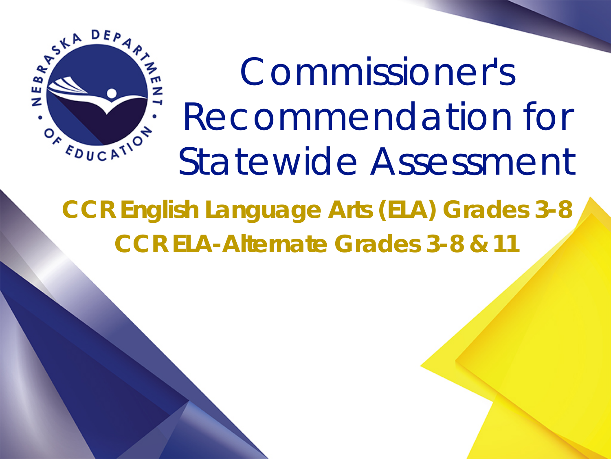

Commissioner's Recommendation for Statewide Assessment

**CCR English Language Arts (ELA) Grades 3-8 CCR ELA-Alternate Grades 3-8 & 11**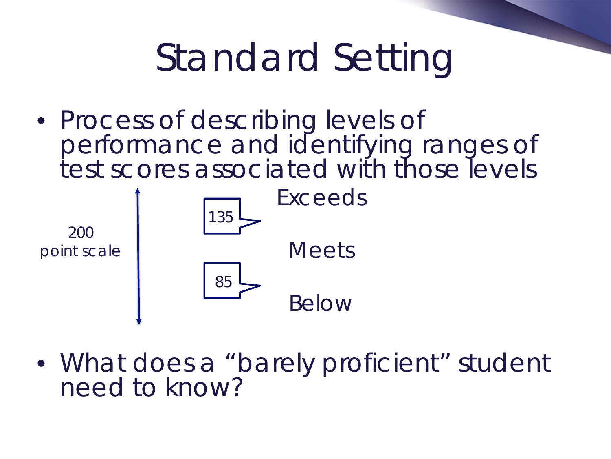# Standard Setting

• Process of describing levels of performance and identifying ranges of test scores associated with those levels



• What does a "barely proficient" student need to know?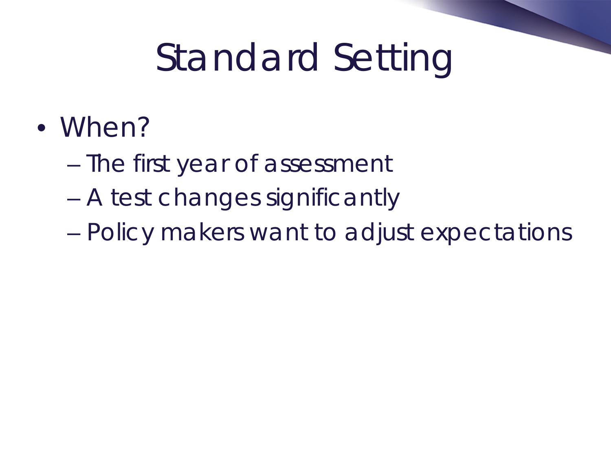# Standard Setting

- When?
	- The first year of assessment
	- A test changes significantly
	- Policy makers want to adjust expectations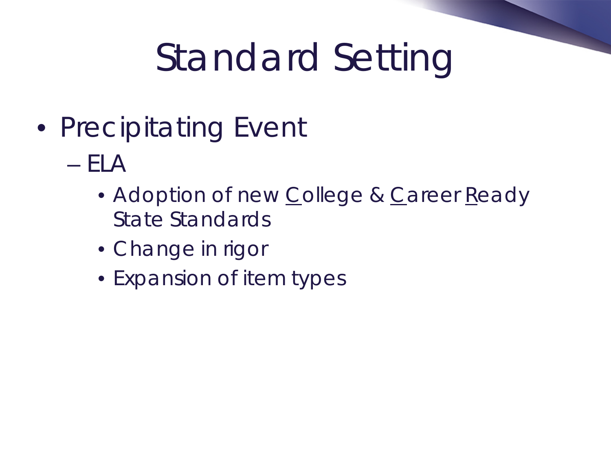# Standard Setting

- Precipitating Event
	- ELA
		- Adoption of new College & Career Ready State Standards
		- Change in rigor
		- Expansion of item types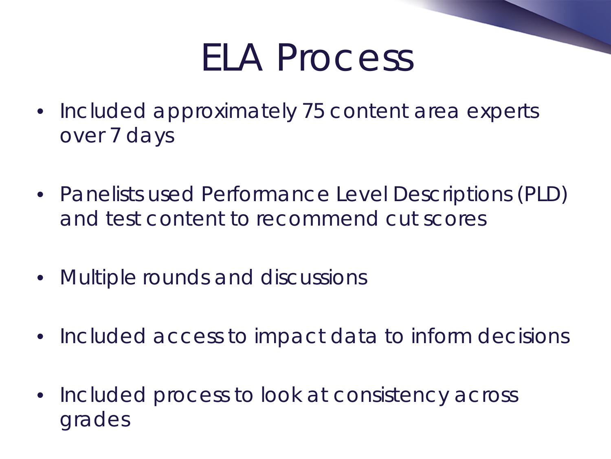# ELA Process

- Included approximately 75 content area experts over 7 days
- Panelists used Performance Level Descriptions (PLD) and test content to recommend cut scores
- Multiple rounds and discussions
- Included access to impact data to inform decisions
- Included process to look at consistency across grades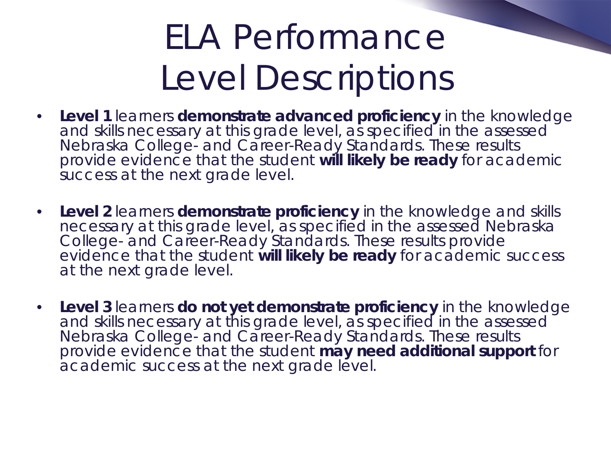## ELA Performance Level Descriptions

- **Level 1** learners *demonstrate advanced proficiency* in the knowledge and skills necessary at this grade level, as specified in the assessed Nebraska College- and Career-Ready Standards. These results provide evidence that the student *will likely be ready* for academic success at the next grade level.
- **Level 2** learners *demonstrate proficiency* in the knowledge and skills necessary at this grade level, as specified in the assessed Nebraska College- and Career-Ready Standards. These results provide evidence that the student *will likely be ready* for academic success at the next grade level.
- **Level 3** learners *do not yet demonstrate proficiency* in the knowledge and skills necessary at this grade level, as specified in the assessed Nebraska College- and Career-Ready Standards. These results provide evidence that the student *may need additional support* for academic success at the next grade level.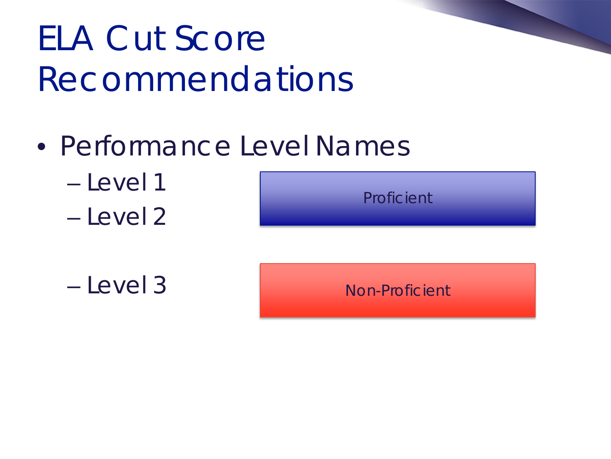# ELA Cut Score Recommendations

- Performance Level Names
	- Level 1
	- Level 2





Non-Proficient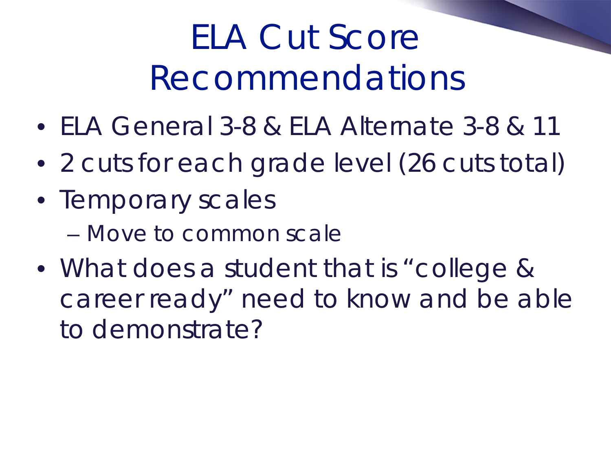## ELA Cut Score Recommendations

- ELA General 3-8 & ELA Alternate 3-8 & 11
- 2 cuts for each grade level (26 cuts total)
- Temporary scales
	- Move to common scale
- What does a student that is "college & career ready" need to know and be able to demonstrate?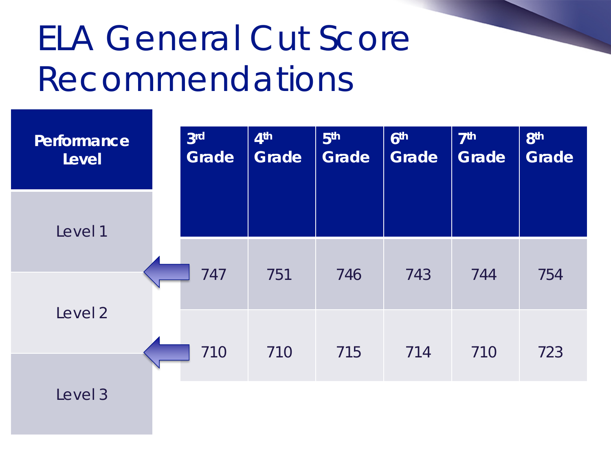## ELA General Cut Score Recommendations

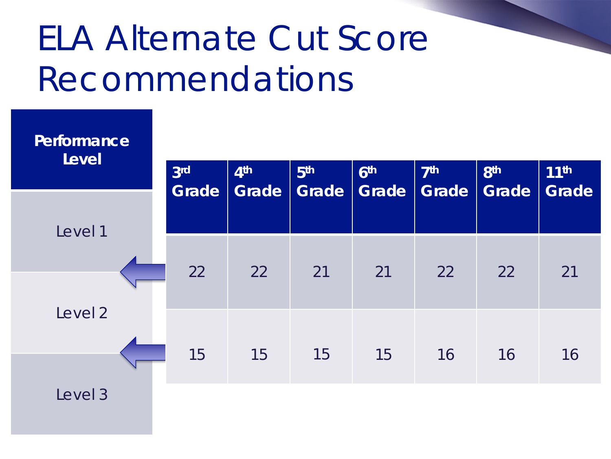## ELA Alternate Cut Score Recommendations

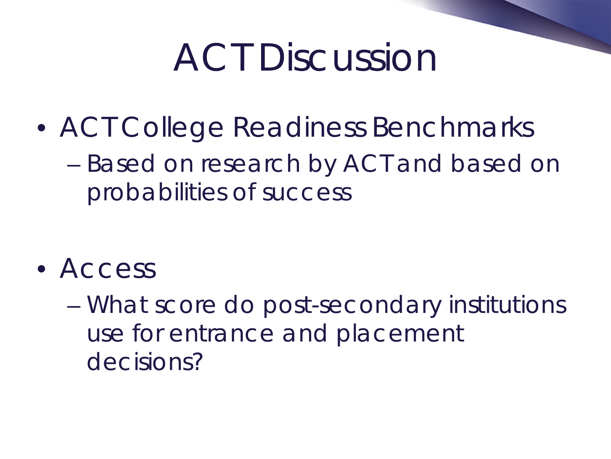# ACT Discussion

• ACT College Readiness Benchmarks – Based on research by ACT and based on probabilities of success

- Access
	- What score do post-secondary institutions use for entrance and placement decisions?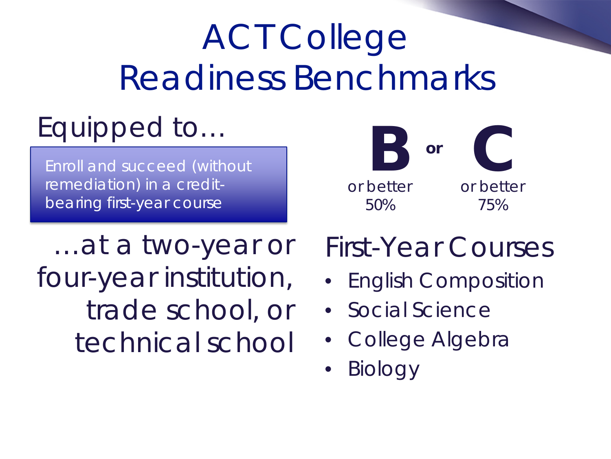# ACT College Readiness Benchmarks

#### Equipped to…

Enroll and succeed (without remediation) in a creditbearing first-year course

…at a two-year or four-year institution, trade school, or technical school



#### First-Year Courses

- English Composition
- Social Science
- College Algebra
- Biology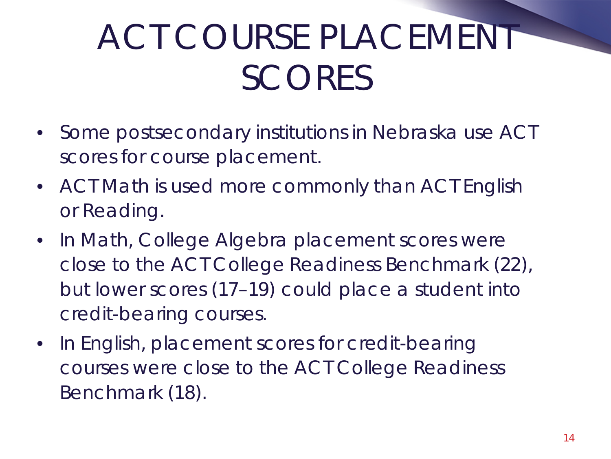# ACT COURSE PLACEMENT **SCORES**

- Some postsecondary institutions in Nebraska use ACT scores for course placement.
- ACT Math is used more commonly than ACT English or Reading.
- In Math, College Algebra placement scores were close to the ACT College Readiness Benchmark (22), but lower scores (17–19) could place a student into credit-bearing courses.
- In English, placement scores for credit-bearing courses were close to the ACT College Readiness Benchmark (18).